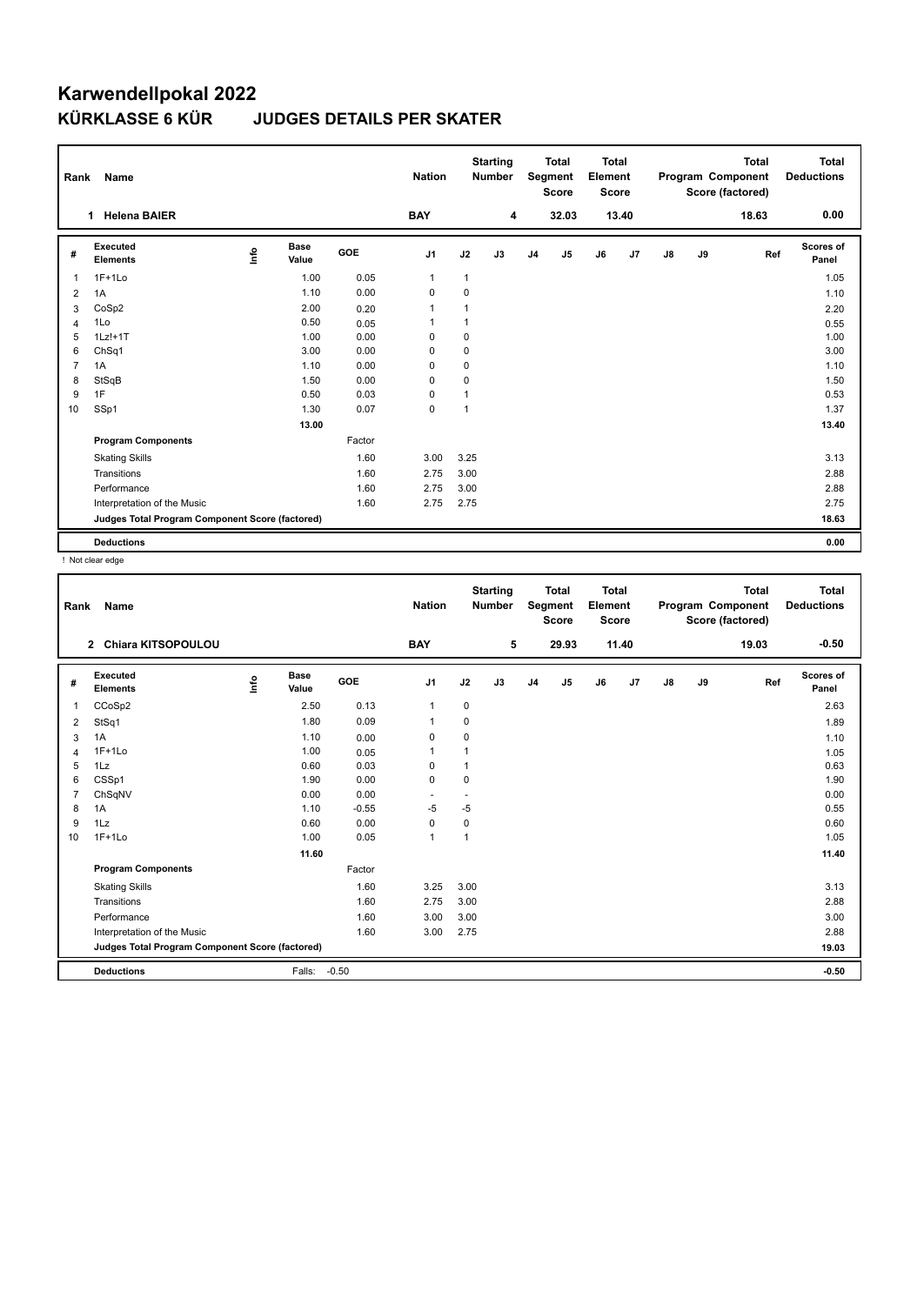## **Karwendellpokal 2022 JUDGES DETAILS PER SKATER**

| Rank                    | Name                                            |    |                      |        | <b>Nation</b>  |             | <b>Starting</b><br><b>Number</b> |                | <b>Total</b><br>Segment<br><b>Score</b> | Total<br>Element<br><b>Score</b> |       |               |    | <b>Total</b><br>Program Component<br>Score (factored) | Total<br><b>Deductions</b> |
|-------------------------|-------------------------------------------------|----|----------------------|--------|----------------|-------------|----------------------------------|----------------|-----------------------------------------|----------------------------------|-------|---------------|----|-------------------------------------------------------|----------------------------|
|                         | 1 Helena BAIER                                  |    |                      |        | <b>BAY</b>     |             | 4                                |                | 32.03                                   |                                  | 13.40 |               |    | 18.63                                                 | 0.00                       |
| #                       | Executed<br><b>Elements</b>                     | ۴٥ | <b>Base</b><br>Value | GOE    | J <sub>1</sub> | J2          | J3                               | J <sub>4</sub> | J5                                      | J6                               | J7    | $\mathsf{J}8$ | J9 | Ref                                                   | Scores of<br>Panel         |
| 1                       | $1F+1Lo$                                        |    | 1.00                 | 0.05   | $\mathbf{1}$   | 1           |                                  |                |                                         |                                  |       |               |    |                                                       | 1.05                       |
| 2                       | 1A                                              |    | 1.10                 | 0.00   | $\mathbf 0$    | $\mathbf 0$ |                                  |                |                                         |                                  |       |               |    |                                                       | 1.10                       |
| 3                       | CoSp2                                           |    | 2.00                 | 0.20   | $\mathbf{1}$   | 1           |                                  |                |                                         |                                  |       |               |    |                                                       | 2.20                       |
| $\overline{\mathbf{A}}$ | 1Lo                                             |    | 0.50                 | 0.05   | $\mathbf{1}$   | 1           |                                  |                |                                         |                                  |       |               |    |                                                       | 0.55                       |
| 5                       | $1Lz!+1T$                                       |    | 1.00                 | 0.00   | 0              | 0           |                                  |                |                                         |                                  |       |               |    |                                                       | 1.00                       |
| 6                       | ChSq1                                           |    | 3.00                 | 0.00   | 0              | 0           |                                  |                |                                         |                                  |       |               |    |                                                       | 3.00                       |
| $\overline{7}$          | 1A                                              |    | 1.10                 | 0.00   | 0              | $\mathbf 0$ |                                  |                |                                         |                                  |       |               |    |                                                       | 1.10                       |
| 8                       | StSqB                                           |    | 1.50                 | 0.00   | 0              | 0           |                                  |                |                                         |                                  |       |               |    |                                                       | 1.50                       |
| 9                       | 1F                                              |    | 0.50                 | 0.03   | 0              | 1           |                                  |                |                                         |                                  |       |               |    |                                                       | 0.53                       |
| 10                      | SSp1                                            |    | 1.30                 | 0.07   | $\mathbf 0$    | 1           |                                  |                |                                         |                                  |       |               |    |                                                       | 1.37                       |
|                         |                                                 |    | 13.00                |        |                |             |                                  |                |                                         |                                  |       |               |    |                                                       | 13.40                      |
|                         | <b>Program Components</b>                       |    |                      | Factor |                |             |                                  |                |                                         |                                  |       |               |    |                                                       |                            |
|                         | <b>Skating Skills</b>                           |    |                      | 1.60   | 3.00           | 3.25        |                                  |                |                                         |                                  |       |               |    |                                                       | 3.13                       |
|                         | Transitions                                     |    |                      | 1.60   | 2.75           | 3.00        |                                  |                |                                         |                                  |       |               |    |                                                       | 2.88                       |
|                         | Performance                                     |    |                      | 1.60   | 2.75           | 3.00        |                                  |                |                                         |                                  |       |               |    |                                                       | 2.88                       |
|                         | Interpretation of the Music                     |    |                      | 1.60   | 2.75           | 2.75        |                                  |                |                                         |                                  |       |               |    |                                                       | 2.75                       |
|                         | Judges Total Program Component Score (factored) |    |                      |        |                |             |                                  |                |                                         |                                  |       |               |    |                                                       | 18.63                      |
|                         | <b>Deductions</b>                               |    |                      |        |                |             |                                  |                |                                         |                                  |       |               |    |                                                       | 0.00                       |

! Not clear edge

| Rank           | Name                                            |      |                      | <b>Nation</b> |                | <b>Starting</b><br><b>Number</b> | <b>Total</b><br>Segment<br><b>Score</b> |                | <b>Total</b><br>Element<br><b>Score</b> |    | <b>Total</b><br>Program Component<br>Score (factored) |       |    | Total<br><b>Deductions</b> |                           |
|----------------|-------------------------------------------------|------|----------------------|---------------|----------------|----------------------------------|-----------------------------------------|----------------|-----------------------------------------|----|-------------------------------------------------------|-------|----|----------------------------|---------------------------|
| $\mathbf{2}$   | <b>Chiara KITSOPOULOU</b>                       |      |                      |               | <b>BAY</b>     |                                  | 5                                       |                | 29.93                                   |    | 11.40                                                 |       |    | 19.03                      | $-0.50$                   |
| #              | Executed<br><b>Elements</b>                     | lnfo | <b>Base</b><br>Value | GOE           | J <sub>1</sub> | J2                               | J3                                      | J <sub>4</sub> | J5                                      | J6 | J7                                                    | J8    | J9 | Ref                        | <b>Scores of</b><br>Panel |
| $\mathbf{1}$   | CCoSp2                                          |      | 2.50                 | 0.13          | $\mathbf{1}$   | $\mathbf 0$                      |                                         |                |                                         |    |                                                       |       |    |                            | 2.63                      |
| 2              | StSq1                                           |      | 1.80                 | 0.09          | $\mathbf{1}$   | 0                                |                                         |                |                                         |    |                                                       |       |    |                            | 1.89                      |
| 3              | 1A                                              |      | 1.10                 | 0.00          | 0              | 0                                |                                         |                |                                         |    |                                                       |       |    |                            | 1.10                      |
| $\overline{4}$ | $1F+1Lo$                                        |      | 1.00                 | 0.05          | $\mathbf{1}$   | 1                                |                                         |                |                                         |    |                                                       |       |    |                            | 1.05                      |
| 5              | 1Lz                                             |      | 0.60                 | 0.03          | 0              | 1                                |                                         |                |                                         |    |                                                       |       |    |                            | 0.63                      |
| 6              | CSSp1                                           |      | 1.90                 | 0.00          | 0              | 0                                |                                         |                |                                         |    |                                                       |       |    |                            | 1.90                      |
| $\overline{7}$ | ChSqNV                                          |      | 0.00                 | 0.00          | ÷              |                                  |                                         |                |                                         |    |                                                       |       |    |                            | 0.00                      |
| 8              | 1A                                              |      | 1.10                 | $-0.55$       | $-5$           | $-5$                             |                                         |                |                                         |    |                                                       |       |    |                            | 0.55                      |
| 9              | 1Lz                                             |      | 0.60                 | 0.00          | $\mathbf 0$    | 0                                |                                         |                |                                         |    |                                                       |       |    |                            | 0.60                      |
| 10             | $1F+1Lo$                                        |      | 1.00                 | 0.05          | 1              | $\mathbf{1}$                     |                                         |                |                                         |    |                                                       |       |    |                            | 1.05                      |
|                |                                                 |      | 11.60                |               |                |                                  |                                         |                |                                         |    |                                                       |       |    |                            | 11.40                     |
|                | <b>Program Components</b>                       |      |                      | Factor        |                |                                  |                                         |                |                                         |    |                                                       |       |    |                            |                           |
|                | <b>Skating Skills</b>                           |      |                      | 1.60          | 3.25           | 3.00                             |                                         |                |                                         |    |                                                       |       |    |                            | 3.13                      |
|                | Transitions                                     |      |                      | 1.60          | 2.75           | 3.00                             |                                         |                |                                         |    |                                                       |       |    |                            | 2.88                      |
|                | Performance                                     |      |                      | 1.60          | 3.00           | 3.00                             |                                         |                |                                         |    |                                                       |       |    |                            | 3.00                      |
|                | Interpretation of the Music                     |      |                      | 1.60          | 3.00           | 2.75                             |                                         |                |                                         |    |                                                       |       |    |                            | 2.88                      |
|                | Judges Total Program Component Score (factored) |      |                      |               |                |                                  |                                         |                |                                         |    |                                                       | 19.03 |    |                            |                           |
|                | <b>Deductions</b>                               |      | Falls:               | $-0.50$       |                |                                  |                                         |                |                                         |    |                                                       |       |    |                            | $-0.50$                   |